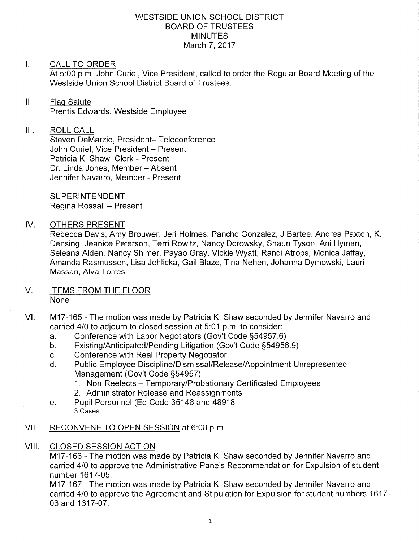### WESTSIDE UNION SCHOOL DISTRICT BOARD OF TRUSTEES **MINUTES** March 7, 2017

## I. CALL TO ORDER

At 5:00 p.m. John Curiel, Vice President, called to order the Regular Board Meeting of the Westside Union School District Board of Trustees.

## ll. Flaq Salute

Prentis Edwards, Westside Employee

#### ilt ROLL CALL

Steven DeMarzio, President- Teleconference John Curiel, Vice President - Present Patricia K. Shaw, Clerk - Present Dr. Linda Jones, Member - Absent Jennifer Navarro, Member - Present

SUPERINTENDENT Regina Rossall - Present

### IV. OTHERS PRESENT

Rebecca Davis, Amy Brouwer, Jeri Holmes, Pancho Gonzalez, J Bartee, Andrea Paxton, <sup>K</sup> Densing, Jeanice Peterson, Terri Rowitz, Nancy Dorowsky, Shaun Tyson, Ani Hyman, Seleana Alden, Nancy Shimer, Payao Gray, Vickie Wyatt, Randi Atrops, Monica Jaffay, Amanda Rasmussen, Lisa Jehlicka, Gail Blaze, Tina Nehen, Johanna Dymowski, Lauri Massari, Alva Torres

#### ITEMS FROM THE FLOOR None V.

- M17-165 The motion was made by Patricia K. Shaw seconded by Jennifer Navarro and carried 4/0 to adjourn to closed session at 5:01 p.m. to consider:<br>a. Conference with Labor Negotiators (Gov't Code §54957.6) VI
	-
	- a. Conference with Labor Negotiators (Gov't Code §54957.6)<br>b. Existing/Anticipated/Pending Litigation (Gov't Code §54956.9)
	-
	- c. Conference with Real Property Negotiator<br>d. Public Employee Discipline/Dismissal/Release/Appointment Unrepresented Management (Gov't Code 554957)
		- 1. Non-Reelects Temporary/Probationary Certificated Employees<br>2. Administrator Release and Reassignments
		-
	- e. Pupil Personnel (Ed Code 35146 and 48918 3 Cases
- VII. RECONVENE TO OPEN SESSION at 6:08 p.m.
- VIII. CLOSED SESSION ACTION

M17-166 - The motion was made by Patricia K. Shaw seconded by Jennifer Navarro and carried 410 to approve the Administrative Panels Recommendation for Expulsion of student number 1617-05.

M17-167 - The motion was made by Patricia K. Shaw seconded by Jennifer Navarro and carried 410 to approve the Agreement and Stipulation for Expulsion for student numbers 1617- 06 and 1617-07.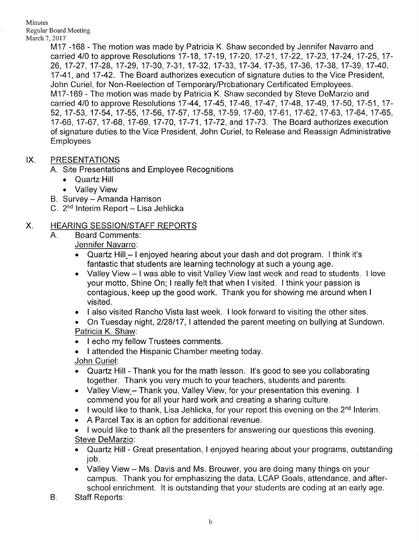Minutes Regular Board Meeting March 7, 2017

M17 -168 - The motion was made by Patricia K. Shaw seconded by Jennifer Navarro and carried 4/0 to approve Resolutions 17-18, 17-19, 17-20, 17-21, 17-22, 17-23, 17-24, 17-25, 17-26, 17-27, 17-28, 17-29, 17-30,7-31, 17-32, 17-33, 17-34, 17-35, 17-36, 17-38, 17-39, 17-40, 17-41, and 17-42. The Board authorizes execution of signature duties to the Vice President, John Curiel, for Non-Reelection of Temporary/Probationary Certificated Employees. M17-169 - The motion was made by Patricia K. Shaw seconded by Steve DeMarzio and carried 4/0 to approve Resolutions 17-44, 17-45, 17-46, 17-47, 17-48, 17-49, 17-50, 17-51, 17-52, 17-53, 17-54, 17-55, 17-56, 17-57, 17-58, 17-59, 17-60, 17-61, 17-62, 17-63, 17-64, 17-65, 17-66,17-67,17-68, 17-69,17-70,17-71,17-72, and 17-73. The Board authorizes execution of signature duties to the Vice President, John Curiel, to Release and Reassign Administrative Employees

## IX. PRESENTATIONS

A. Site Presentations and Employee Recognitions

- . Quartz Hill
- . Valley View
- B. Survey Amanda Harrison
- C.  $2^{nd}$  Interim Report Lisa Jehlicka

# X. HEARING SESSION/STAFF REPORTS

A. Board Comments:

Jennifer Navarro:

- Quartz Hill  $-$  I enjoyed hearing about your dash and dot program. I think it's fantastic that students are learning technology at such a young age.
- . Valley View I was able to visit Valley View last week and read to students. I love your motto, Shine On; I really felt that when I visited. I think your passion is contagious, keep up the good work. Thank you for showing me around when <sup>I</sup> visited.
- I also visited Rancho Vista last week. I look forward to visiting the other sites.
- . On Tuesday night, 2128117, I attended the parent meeting on bullying at Sundown. Patricia K. Shaw:
- . I echo my fellow Trustees comments.
- . I attended the Hispanic Chamber meeting today

John Curiel:

- . Quartz Hill Thank you for the math lesson. lt's good to see you collaborating together. Thank you very much to your teachers, students and parents.
- Valley View Thank you, Valley View, for your presentation this evening. I commend you for all your hard work and creating a sharing culture.
- $\bullet$  I would like to thank, Lisa Jehlicka, for your report this evening on the 2<sup>nd</sup> Interim.
- A Parcel Tax is an option for additional revenue.
- . I would like to thank all the presenters for answering our questions this evening. Steve DeMarzio:
- . Quartz Hill Great presentation, I enjoyed hearing about your programs, outstanding job.
- . Valley View Ms. Davis and Ms. Brouwer, you are doing many things on your campus. Thank you for emphasizing the data, LCAP Goals, attendance, and afterschool enrichment. lt is outstanding that your students are coding at an early age.
- B. Staff Reports: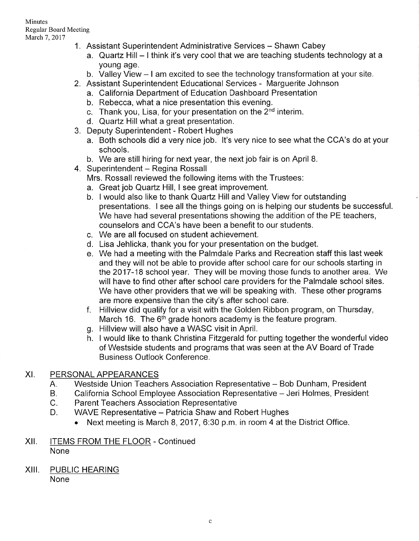#### Minutes Regular Board Meeting March 7, 2017

- 1. Assistant Superintendent Administrative Services Shawn Cabey
	- a. Quartz Hill I think it's very cool that we are teaching students technology at a young age.
	- b. Valley View I am excited to see the technology transformation at your site.
- 2. Assistant Superintendent Educational Services Marguerite Johnson
	- a. California Department of Education Dashboard Presentation
	- b. Rebecca, what a nice presentation this evening.
	- c. Thank you, Lisa, for your presentation on the 2<sup>nd</sup> interim.
	- d. Quartz Hill what a great presentation.
- 3. Deputy Superintendent Robert Hughes
	- a. Both schools did a very nice job. lt's very nice to see what the CCA's do at your schools.
	- b. We are still hiring for next year, the nexi job fair is on April 8.
- 4. Superintendent Regina Rossall
	- Mrs. Rossall reviewed the following items with the Trustees:
	- a. Great job Quartz Hill, I see great improvement.
	- b. I would also like to thank Quaftz Hill and Valley View for outstanding presentations. <sup>I</sup>see all the things going on is helping our students be successful We have had several presentations showing the addition of the PE teachers, counselors and CCA's have been a benefit to our students.
	- c. We are all focused on student achievement.
	- d. Lisa Jehlicka, thank you for your presentation on the budget.
	- e. We had a meeting with the Palmdale Parks and Recreation staff this last week and they will not be able to provide after school care for our schools starting in the 2017-18 school year. They will be moving those funds to another area. We will have to find other after school care providers for the Palmdale school sites. We have other providers that we will be speaking with. These other programs
	- are more expensive than the city's after school care. f. Hillview did qualify for a visit with the Golden Ribbon program, on Thursday, March 16. The  $6<sup>th</sup>$  grade honors academy is the feature program.<br>g. Hillview will also have a WASC visit in April.
	-
	- h. I would like to thank Christina Fitzgerald for putting together the wonderful video of Westside students and programs that was seen at the AV Board of Trade Business Outlook Conference.

## XI. PERSONALAPPEARANCES

- Westside Union Teachers Association Representative Bob Dunham, President  $A_{\cdot}$
- California School Employee Association Representative Jeri Holmes, President  $B<sub>r</sub>$
- Parent Teachers Association Representative  $C_{\cdot}$
- WAVE Representative Patricia Shaw and Robert Hughes D.
	- . Next meeting is March 8,2017, 6:30 p.m. in room 4 at the District Office.
- Xll. ITEMS FROM THE FLOOR Continued None
- XIII. PUBLIC HEARING None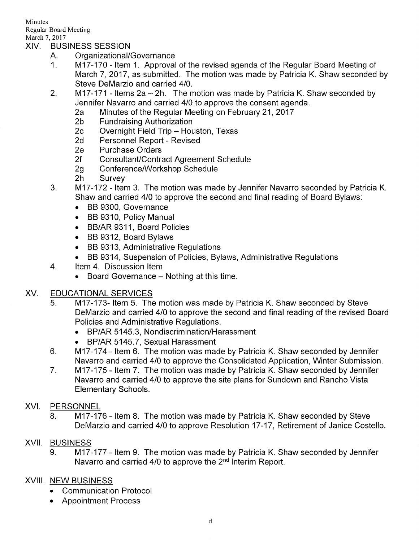Minutes Regular Board Meeting

# March 7, 2017<br>XIV. BUSINESS SESSION

- 
- A. Organizational/Governance<br>1. M17-170 Item 1. Approval of the revised agenda of the Regular Board Meeting of March 7, 2017, as submitted. The motion was made by Patricia K. Shaw seconded by Steve DeMarzio and carried 410.
- 2. M17-171 Items 2a 2h. The motion was made by Patricia K. Shaw seconded by Jennifer Navarro and carried 4/0 to approve the consent agenda.
	- 2a Minutes of the Regular Meeting on February 21, 2017<br>
	2b Fundraising Authorization<br>
	2c Overnight Field Trip Houston, Texas<br>
	2d Personnel Report Revised<br>
	2e Purchase Orders
	-
	-
	-
	-
	-
	-
	-
- 2f Consultant/Contract Agreement Schedule<br>2g Conference/Workshop Schedule<br>2h Survey 3. M17-172 Item 3. The motion was made by Jennifer Navarro seconded by Patricia K. Shaw and carried 410 to approve the second and final reading of Board Bylaws:
	- . BB 9300, Governance
	- . BB 9310, Policy Manual
	- . BB/AR 9311, Board Policies
	- . BB 9312, Board Bylaws
	- . BB 9313, Administrative Regulations
- BB 9314, Suspension of Policies, Bylaws, Administrative Regulations<br>4. ltem 4. Discussion Item
- - Board Governance Nothing at this time.

## XV. EDUCATIONAL SERVICES

- 5. M17-173- Item 5. The motion was made by Patricia K. Shaw seconded by Steve DeMarzio and carried 410 to approve the second and final reading of the revised Board Policies and Administrative Regulations.
	- BP/AR 5145.3, Nondiscrimination/Harassment
	- BP/AR 5145.7, Sexual Harassment
- M17-174 Item 6. The motion was made by Patricia K. Shaw seconded by Jennifer Navarro and carried 410 to approve the Consolidated Application, Winter Submission. 6
- M17-175 Item 7. The motion was made by Patricia K. Shaw seconded by Jennifer Navarro and carried 410 to approve the site plans for Sundown and Rancho Vista Elementary Schools. 7

# XVI. PERSONNEL

8. M17-176 - Item 8. The motion was made by Patricia K. Shaw seconded by Steve DeMarzio and carried 410 to approve Resolution 17-17, Retirement of Janice Costello

# XVII. BUSINESS

9. M17-177 - Item 9. The motion was made by Patricia K. Shaw seconded by Jennifer Navarro and carried 4/0 to approve the 2<sup>nd</sup> Interim Report.

# XVIII. NEW BUSINESS

- . Communication Protocol
- . Appointment Process